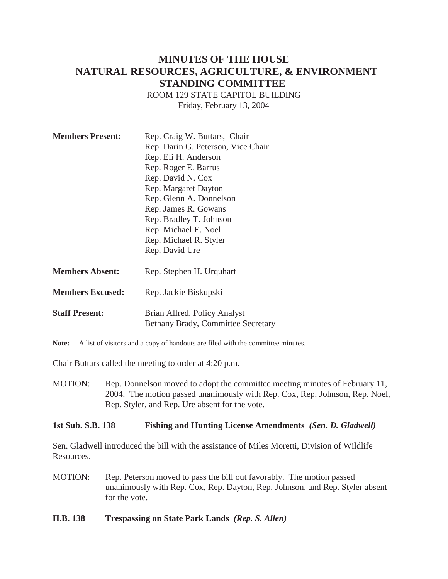# **MINUTES OF THE HOUSE NATURAL RESOURCES, AGRICULTURE, & ENVIRONMENT STANDING COMMITTEE**

ROOM 129 STATE CAPITOL BUILDING Friday, February 13, 2004

| <b>Members Present:</b> | Rep. Craig W. Buttars, Chair<br>Rep. Darin G. Peterson, Vice Chair<br>Rep. Eli H. Anderson<br>Rep. Roger E. Barrus<br>Rep. David N. Cox<br>Rep. Margaret Dayton<br>Rep. Glenn A. Donnelson<br>Rep. James R. Gowans<br>Rep. Bradley T. Johnson<br>Rep. Michael E. Noel<br>Rep. Michael R. Styler<br>Rep. David Ure |
|-------------------------|-------------------------------------------------------------------------------------------------------------------------------------------------------------------------------------------------------------------------------------------------------------------------------------------------------------------|
| <b>Members Absent:</b>  | Rep. Stephen H. Urquhart                                                                                                                                                                                                                                                                                          |
| <b>Members Excused:</b> | Rep. Jackie Biskupski                                                                                                                                                                                                                                                                                             |

Note: A list of visitors and a copy of handouts are filed with the committee minutes.

Chair Buttars called the meeting to order at 4:20 p.m.

**Staff Present:** Brian Allred, Policy Analyst

MOTION: Rep. Donnelson moved to adopt the committee meeting minutes of February 11, 2004. The motion passed unanimously with Rep. Cox, Rep. Johnson, Rep. Noel, Rep. Styler, and Rep. Ure absent for the vote.

#### **1st Sub. S.B. 138 Fishing and Hunting License Amendments** *(Sen. D. Gladwell)*

Bethany Brady, Committee Secretary

Sen. Gladwell introduced the bill with the assistance of Miles Moretti, Division of Wildlife Resources.

- MOTION: Rep. Peterson moved to pass the bill out favorably. The motion passed unanimously with Rep. Cox, Rep. Dayton, Rep. Johnson, and Rep. Styler absent for the vote.
- **H.B. 138 Trespassing on State Park Lands** *(Rep. S. Allen)*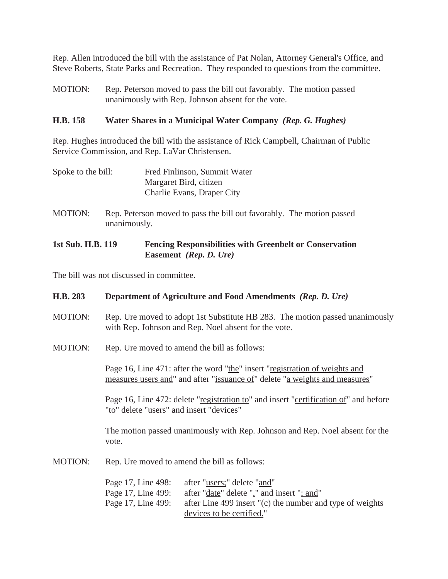Rep. Allen introduced the bill with the assistance of Pat Nolan, Attorney General's Office, and Steve Roberts, State Parks and Recreation. They responded to questions from the committee.

MOTION: Rep. Peterson moved to pass the bill out favorably. The motion passed unanimously with Rep. Johnson absent for the vote.

## **H.B. 158 Water Shares in a Municipal Water Company** *(Rep. G. Hughes)*

Rep. Hughes introduced the bill with the assistance of Rick Campbell, Chairman of Public Service Commission, and Rep. LaVar Christensen.

- Spoke to the bill: Fred Finlinson, Summit Water Margaret Bird, citizen Charlie Evans, Draper City
- MOTION: Rep. Peterson moved to pass the bill out favorably. The motion passed unanimously.

## **1st Sub. H.B. 119 Fencing Responsibilities with Greenbelt or Conservation Easement** *(Rep. D. Ure)*

The bill was not discussed in committee.

| H.B. 283       | Department of Agriculture and Food Amendments (Rep. D. Ure)                                                                                                                                                                                    |
|----------------|------------------------------------------------------------------------------------------------------------------------------------------------------------------------------------------------------------------------------------------------|
| MOTION:        | Rep. Ure moved to adopt 1st Substitute HB 283. The motion passed unanimously<br>with Rep. Johnson and Rep. Noel absent for the vote.                                                                                                           |
| <b>MOTION:</b> | Rep. Ure moved to amend the bill as follows:                                                                                                                                                                                                   |
|                | Page 16, Line 471: after the word "the" insert "registration of weights and<br>measures users and" and after "issuance of" delete "a weights and measures"                                                                                     |
|                | Page 16, Line 472: delete "registration to" and insert "certification of" and before<br>"to" delete "users" and insert "devices"                                                                                                               |
|                | The motion passed unanimously with Rep. Johnson and Rep. Noel absent for the<br>vote.                                                                                                                                                          |
| MOTION:        | Rep. Ure moved to amend the bill as follows:                                                                                                                                                                                                   |
|                | Page 17, Line 498:<br>after "users;" delete "and"<br>Page 17, Line 499:<br>after " <u>date</u> " delete "." and insert "; and"<br>Page 17, Line 499:<br>after Line 499 insert "(c) the number and type of weights<br>devices to be certified." |